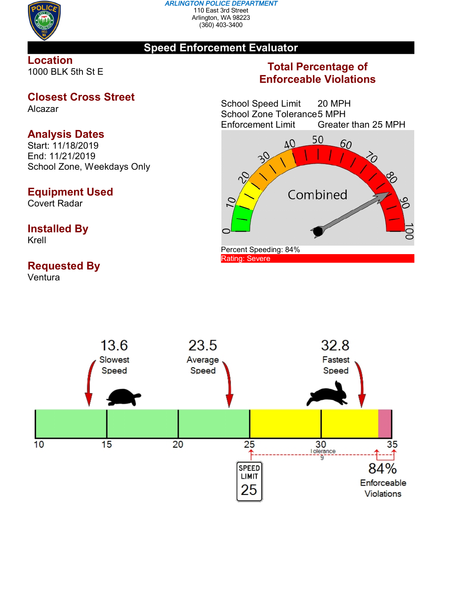

#### *ARLINGTON POLICE DEPARTMENT* 110 East 3rd Street Arlington, WA 98223 (360) 403-3400

### **Speed Enforcement Evaluator**

#### **Location** 1000 BLK 5th St E

### **Closest Cross Street**

Alcazar

# **Analysis Dates**

Start: 11/18/2019 End: 11/21/2019 School Zone, Weekdays Only

## **Equipment Used**

Covert Radar

## **Installed By**

Krell

# **Requested By**

Ventura

## **Total Percentage of Enforceable Violations**

School Speed Limit 20 MPH School Zone Tolerance 5 MPH<br>Enforcement Limit Greater Greater than 25 MPH